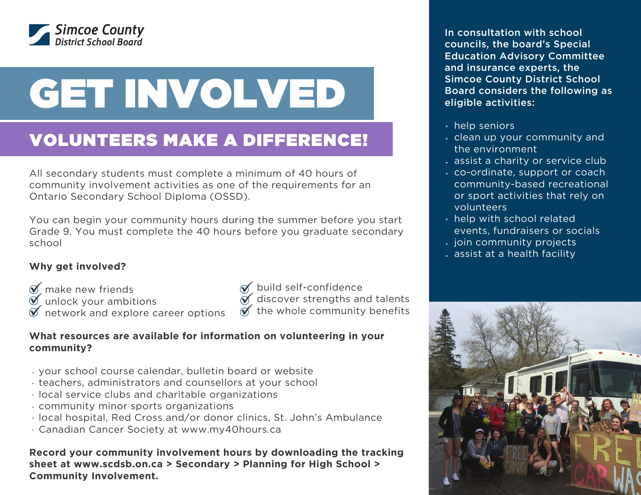

# GET INVOLVED

# VOLUNTEERS MAKE A DIFFERENCE!

All secondary students must complete a minimum of 40 hours of community involvement activities as one of the requirements for an Ontario Secondary School Diploma (OSSD).

You can begin your community hours during the summer before you start Grade 9. You must complete the 40 hours before you graduate secondary school

## **Why get involved?**

- $\mathscr{D}$  make new friends
- $\bullet$  unlock your ambitions  $\bullet$
- $\bullet$  network and explore career options
- $\mathscr{D}$  build self-confidence

 $\mathcal{\breve{\mathcal{A}}}$  discover strengths and talents

 $\check{\mathscr{A}}$  the whole community benefits

### **What resources are available for information on volunteering in your community?**

- your school course calendar, bulletin board or website
- teachers, administrators and counsellors at your school
- local service clubs and charitable organizations
- community minor sports organizations
- local hospital, Red Cross and/or donor clinics, St. John's Ambulance
- Canadian Cancer Society at www.my40hours.ca

**Record your community involvement hours by downloading the tracking sheet at www.scdsb.on.ca > Secondary > Planning for High School > Community Involvement.**

In consultation with school councils, the board's Special Education Advisory Committee and insurance experts, the Simcoe County District School Board considers the following as eligible activities:

- $\cdot$  help seniors
- . clean up your community and the environment
- assist a charity or service club
- co-ordinate, support or coach community-based recreational or sport activities that rely on volunteers
- $\cdot$  help with school related events, fundraisers or socials
- $i$  join community projects
- assist at a health facility